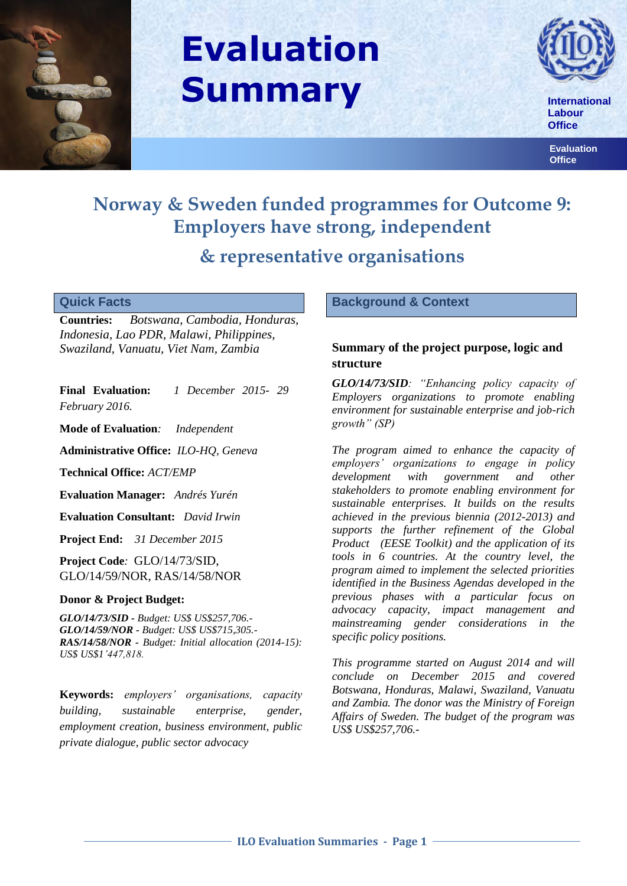

# **Evaluation Summary**



 **Labour Office**

 **Evaluation Office**

# **Norway & Sweden funded programmes for Outcome 9: Employers have strong, independent & representative organisations**

#### **Quick Facts**

**Countries:** *Botswana, Cambodia, Honduras, Indonesia, Lao PDR, Malawi, Philippines, Swaziland, Vanuatu, Viet Nam, Zambia*

**Final Evaluation:** *1 December 2015- 29 February 2016.* 

**Mode of Evaluation***: Independent*

**Administrative Office:** *ILO-HQ, Geneva*

**Technical Office:** *ACT/EMP*

**Evaluation Manager:** *Andrés Yurén*

**Evaluation Consultant:** *David Irwin*

**Project End:** *31 December 2015*

**Project Code***:* GLO/14/73/SID, GLO/14/59/NOR, RAS/14/58/NOR

#### **Donor & Project Budget:**

*GLO/14/73/SID - Budget: US\$ US\$257,706.- GLO/14/59/NOR - Budget: US\$ US\$715,305.- RAS/14/58/NOR - Budget: Initial allocation (2014-15): US\$ US\$1'447,818.* 

**Keywords:** *employers' organisations, capacity building, sustainable enterprise, gender, employment creation, business environment, public private dialogue, public sector advocacy*

#### **Background & Context**

# **Summary of the project purpose, logic and structure**

*GLO/14/73/SID: "Enhancing policy capacity of Employers organizations to promote enabling environment for sustainable enterprise and job-rich growth" (SP)*

*The program aimed to enhance the capacity of employers' organizations to engage in policy development with government and other stakeholders to promote enabling environment for sustainable enterprises. It builds on the results achieved in the previous biennia (2012-2013) and supports the further refinement of the Global Product (EESE Toolkit) and the application of its tools in 6 countries. At the country level, the program aimed to implement the selected priorities identified in the Business Agendas developed in the previous phases with a particular focus on advocacy capacity, impact management and mainstreaming gender considerations in the specific policy positions.* 

*This programme started on August 2014 and will conclude on December 2015 and covered Botswana, Honduras, Malawi, Swaziland, Vanuatu and Zambia. The donor was the Ministry of Foreign Affairs of Sweden. The budget of the program was US\$ US\$257,706.-*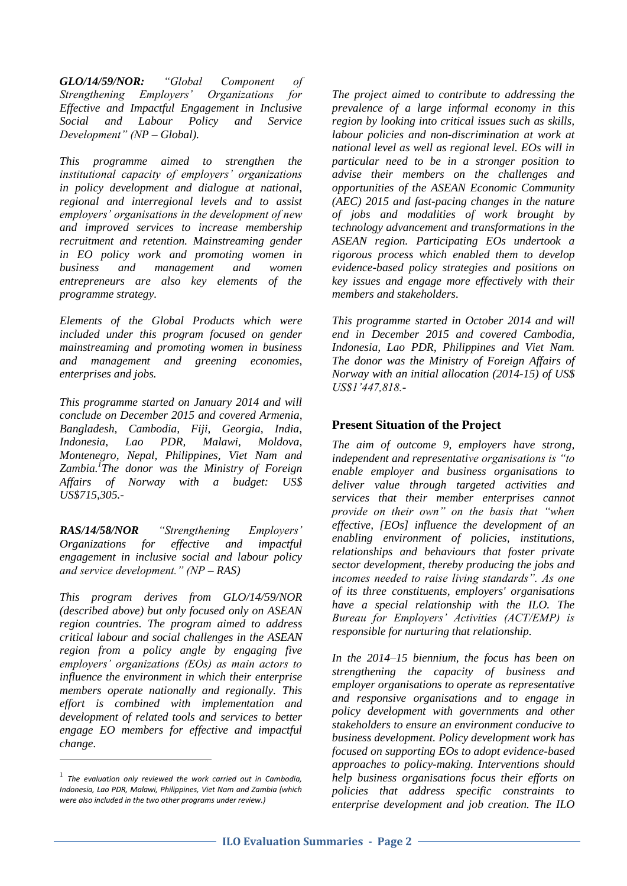*GLO/14/59/NOR: "Global Component of Strengthening Employers' Organizations for Effective and Impactful Engagement in Inclusive Social and Labour Policy and Service Development" (NP – Global).* 

*This programme aimed to strengthen the institutional capacity of employers' organizations in policy development and dialogue at national, regional and interregional levels and to assist employers' organisations in the development of new and improved services to increase membership recruitment and retention. Mainstreaming gender in EO policy work and promoting women in business and management and women entrepreneurs are also key elements of the programme strategy.* 

*Elements of the Global Products which were included under this program focused on gender mainstreaming and promoting women in business and management and greening economies, enterprises and jobs.* 

*This programme started on January 2014 and will conclude on December 2015 and covered Armenia, Bangladesh, Cambodia, Fiji, Georgia, India, Indonesia, Lao PDR, Malawi, Moldova, Montenegro, Nepal, Philippines, Viet Nam and Zambia.<sup>1</sup> The donor was the Ministry of Foreign Affairs of Norway with a budget: US\$ US\$715,305.-*

*RAS/14/58/NOR "Strengthening Employers' Organizations for effective and impactful engagement in inclusive social and labour policy and service development." (NP – RAS)*

*This program derives from GLO/14/59/NOR (described above) but only focused only on ASEAN region countries. The program aimed to address critical labour and social challenges in the ASEAN region from a policy angle by engaging five employers' organizations (EOs) as main actors to influence the environment in which their enterprise members operate nationally and regionally. This effort is combined with implementation and development of related tools and services to better engage EO members for effective and impactful change.* 

1

*The project aimed to contribute to addressing the prevalence of a large informal economy in this region by looking into critical issues such as skills, labour policies and non-discrimination at work at national level as well as regional level. EOs will in particular need to be in a stronger position to advise their members on the challenges and opportunities of the ASEAN Economic Community (AEC) 2015 and fast-pacing changes in the nature of jobs and modalities of work brought by technology advancement and transformations in the ASEAN region. Participating EOs undertook a rigorous process which enabled them to develop evidence-based policy strategies and positions on key issues and engage more effectively with their members and stakeholders.* 

*This programme started in October 2014 and will end in December 2015 and covered Cambodia, Indonesia, Lao PDR, Philippines and Viet Nam. The donor was the Ministry of Foreign Affairs of Norway with an initial allocation (2014-15) of US\$ US\$1'447,818.-*

# **Present Situation of the Project**

*The aim of outcome 9, employers have strong, independent and representative organisations is "to enable employer and business organisations to deliver value through targeted activities and services that their member enterprises cannot provide on their own" on the basis that "when effective, [EOs] influence the development of an enabling environment of policies, institutions, relationships and behaviours that foster private sector development, thereby producing the jobs and incomes needed to raise living standards". As one of its three constituents, employers' organisations have a special relationship with the ILO. The Bureau for Employers' Activities (ACT/EMP) is responsible for nurturing that relationship.*

*In the 2014–15 biennium, the focus has been on strengthening the capacity of business and employer organisations to operate as representative and responsive organisations and to engage in policy development with governments and other stakeholders to ensure an environment conducive to business development. Policy development work has focused on supporting EOs to adopt evidence-based approaches to policy-making. Interventions should help business organisations focus their efforts on policies that address specific constraints to enterprise development and job creation. The ILO* 

<sup>1</sup> *The evaluation only reviewed the work carried out in Cambodia, Indonesia, Lao PDR, Malawi, Philippines, Viet Nam and Zambia (which were also included in the two other programs under review.)*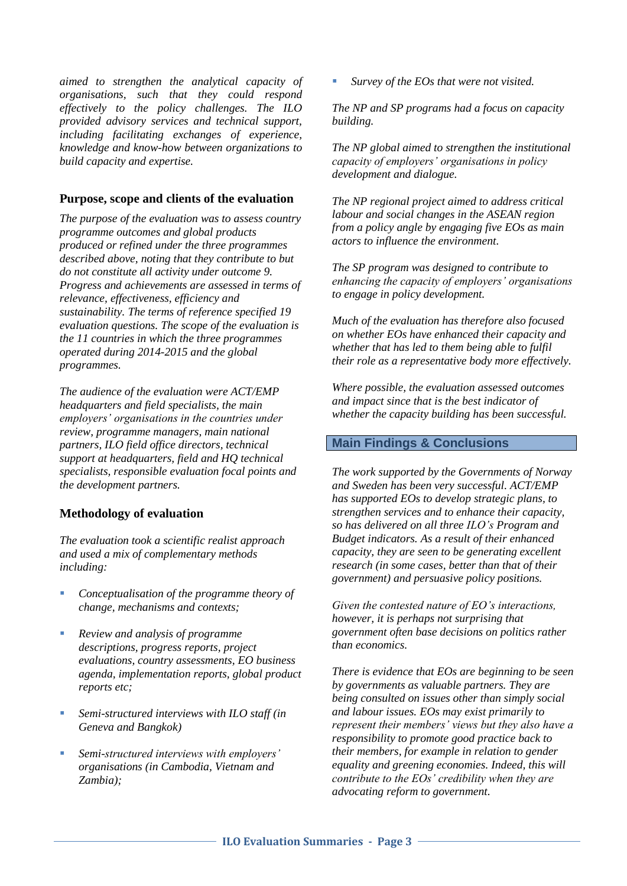*aimed to strengthen the analytical capacity of organisations, such that they could respond effectively to the policy challenges. The ILO provided advisory services and technical support, including facilitating exchanges of experience, knowledge and know-how between organizations to build capacity and expertise.*

#### **Purpose, scope and clients of the evaluation**

*The purpose of the evaluation was to assess country programme outcomes and global products produced or refined under the three programmes described above, noting that they contribute to but do not constitute all activity under outcome 9. Progress and achievements are assessed in terms of relevance, effectiveness, efficiency and sustainability. The terms of reference specified 19 evaluation questions. The scope of the evaluation is the 11 countries in which the three programmes operated during 2014-2015 and the global programmes.* 

*The audience of the evaluation were ACT/EMP headquarters and field specialists, the main employers' organisations in the countries under review, programme managers, main national partners, ILO field office directors, technical support at headquarters, field and HQ technical specialists, responsible evaluation focal points and the development partners.*

#### **Methodology of evaluation**

*The evaluation took a scientific realist approach and used a mix of complementary methods including:*

- *Conceptualisation of the programme theory of change, mechanisms and contexts;*
- *Review and analysis of programme descriptions, progress reports, project evaluations, country assessments, EO business agenda, implementation reports, global product reports etc;*
- *Semi-structured interviews with ILO staff (in Geneva and Bangkok)*
- *Semi-structured interviews with employers' organisations (in Cambodia, Vietnam and Zambia);*

*Survey of the EOs that were not visited.*

*The NP and SP programs had a focus on capacity building.*

*The NP global aimed to strengthen the institutional capacity of employers' organisations in policy development and dialogue.*

*The NP regional project aimed to address critical labour and social changes in the ASEAN region from a policy angle by engaging five EOs as main actors to influence the environment.*

*The SP program was designed to contribute to enhancing the capacity of employers' organisations to engage in policy development.* 

*Much of the evaluation has therefore also focused on whether EOs have enhanced their capacity and whether that has led to them being able to fulfil their role as a representative body more effectively.* 

*Where possible, the evaluation assessed outcomes and impact since that is the best indicator of whether the capacity building has been successful.*

### **Main Findings & Conclusions**

*The work supported by the Governments of Norway and Sweden has been very successful. ACT/EMP has supported EOs to develop strategic plans, to strengthen services and to enhance their capacity, so has delivered on all three ILO's Program and Budget indicators. As a result of their enhanced capacity, they are seen to be generating excellent research (in some cases, better than that of their government) and persuasive policy positions.* 

*Given the contested nature of EO's interactions, however, it is perhaps not surprising that government often base decisions on politics rather than economics.* 

*There is evidence that EOs are beginning to be seen by governments as valuable partners. They are being consulted on issues other than simply social and labour issues. EOs may exist primarily to represent their members' views but they also have a responsibility to promote good practice back to their members, for example in relation to gender equality and greening economies. Indeed, this will contribute to the EOs' credibility when they are advocating reform to government.*